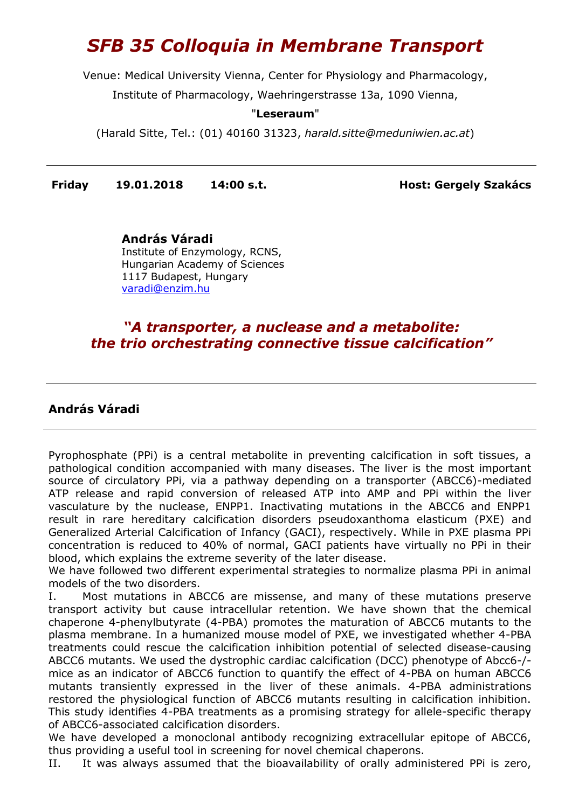## *SFB 35 Colloquia in Membrane Transport*

Venue: Medical University Vienna, Center for Physiology and Pharmacology,

Institute of Pharmacology, Waehringerstrasse 13a, 1090 Vienna,

## "**Leseraum**"

(Harald Sitte, Tel.: (01) 40160 31323, *[harald.sitte@meduniwien.ac.at](mailto:harald.sitte@meduniwien.ac.at)*)

**Friday 19.01.2018 14:00 s.t. Host: Gergely Szakács**

**András Váradi** Institute of Enzymology, RCNS, Hungarian Academy of Sciences 1117 Budapest, Hungary [varadi@enzim.hu](mailto:varadi@enzim.hu)

## *"A transporter, a nuclease and a metabolite: the trio orchestrating connective tissue calcification"*

## **András Váradi**

Pyrophosphate (PPi) is a central metabolite in preventing calcification in soft tissues, a pathological condition accompanied with many diseases. The liver is the most important source of circulatory PPi, via a pathway depending on a transporter (ABCC6)-mediated ATP release and rapid conversion of released ATP into AMP and PPi within the liver vasculature by the nuclease, ENPP1. Inactivating mutations in the ABCC6 and ENPP1 result in rare hereditary calcification disorders pseudoxanthoma elasticum (PXE) and Generalized Arterial Calcification of Infancy (GACI), respectively. While in PXE plasma PPi concentration is reduced to 40% of normal, GACI patients have virtually no PPi in their blood, which explains the extreme severity of the later disease.

We have followed two different experimental strategies to normalize plasma PPi in animal models of the two disorders.

I. Most mutations in ABCC6 are missense, and many of these mutations preserve transport activity but cause intracellular retention. We have shown that the chemical chaperone 4-phenylbutyrate (4-PBA) promotes the maturation of ABCC6 mutants to the plasma membrane. In a humanized mouse model of PXE, we investigated whether 4-PBA treatments could rescue the calcification inhibition potential of selected disease-causing ABCC6 mutants. We used the dystrophic cardiac calcification (DCC) phenotype of Abcc6-/ mice as an indicator of ABCC6 function to quantify the effect of 4-PBA on human ABCC6 mutants transiently expressed in the liver of these animals. 4-PBA administrations restored the physiological function of ABCC6 mutants resulting in calcification inhibition. This study identifies 4-PBA treatments as a promising strategy for allele-specific therapy of ABCC6-associated calcification disorders.

We have developed a monoclonal antibody recognizing extracellular epitope of ABCC6, thus providing a useful tool in screening for novel chemical chaperons.

II. It was always assumed that the bioavailability of orally administered PPi is zero,